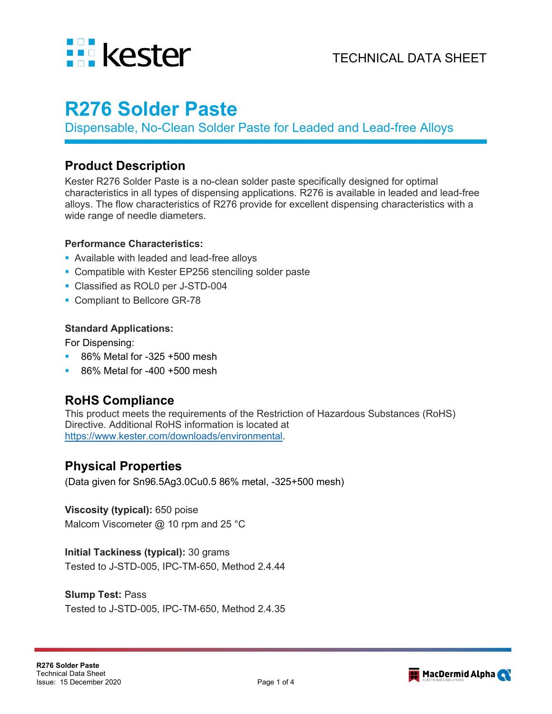

# **R276 Solder Paste**

Dispensable, No-Clean Solder Paste for Leaded and Lead-free Alloys

### **Product Description**

Kester R276 Solder Paste is a no-clean solder paste specifically designed for optimal characteristics in all types of dispensing applications. R276 is available in leaded and lead-free alloys. The flow characteristics of R276 provide for excellent dispensing characteristics with a wide range of needle diameters.

#### **Performance Characteristics:**

- **Available with leaded and lead-free alloys**
- Compatible with Kester EP256 stenciling solder paste
- **Classified as ROL0 per J-STD-004**
- Compliant to Bellcore GR-78

#### **Standard Applications:**

For Dispensing:

- 86% Metal for -325 +500 mesh
- 86% Metal for -400 +500 mesh

# **RoHS Compliance**

This product meets the requirements of the Restriction of Hazardous Substances (RoHS) Directive. Additional RoHS information is located at [https://www.kester.com/downloads/environmental.](https://www.kester.com/downloads/environmental)

### **Physical Properties**

(Data given for Sn96.5Ag3.0Cu0.5 86% metal, -325+500 mesh)

#### **Viscosity (typical):** 650 poise

Malcom Viscometer @ 10 rpm and 25 °C

#### **Initial Tackiness (typical):** 30 grams

Tested to J-STD-005, IPC-TM-650, Method 2.4.44

#### **Slump Test:** Pass

Tested to J-STD-005, IPC-TM-650, Method 2.4.35

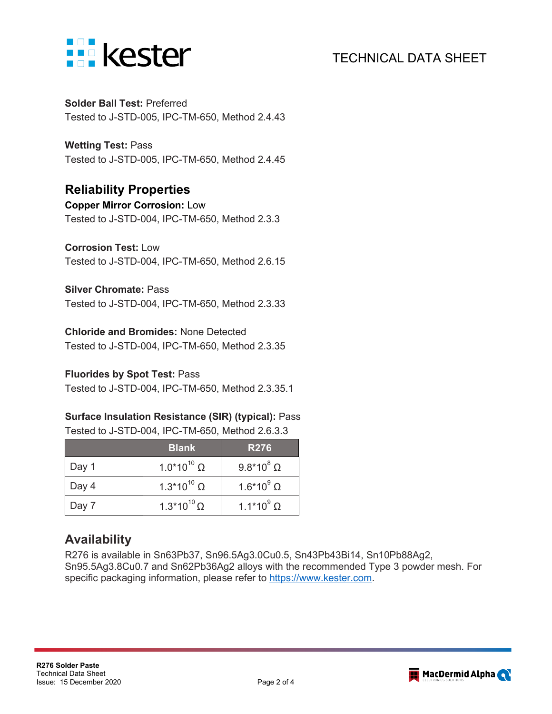

# TECHNICAL DATA SHEET

**Solder Ball Test:** Preferred Tested to J-STD-005, IPC-TM-650, Method 2.4.43

**Wetting Test:** Pass Tested to J-STD-005, IPC-TM-650, Method 2.4.45

### **Reliability Properties**

**Copper Mirror Corrosion:** Low Tested to J-STD-004, IPC-TM-650, Method 2.3.3

#### **Corrosion Test:** Low

Tested to J-STD-004, IPC-TM-650, Method 2.6.15

#### **Silver Chromate:** Pass

Tested to J-STD-004, IPC-TM-650, Method 2.3.33

#### **Chloride and Bromides:** None Detected

Tested to J-STD-004, IPC-TM-650, Method 2.3.35

#### **Fluorides by Spot Test:** Pass

Tested to J-STD-004, IPC-TM-650, Method 2.3.35.1

#### **Surface Insulation Resistance (SIR) (typical):** Pass Tested to J-STD-004, IPC-TM-650, Method 2.6.3.3

|       | <b>Blank</b>                  | <b>R276</b>         |
|-------|-------------------------------|---------------------|
| Day 1 | $1.0*10^{10}$ Ω               | $9.8*10^8$ $\Omega$ |
| Day 4 | 1.3*10 <sup>10</sup> $\Omega$ | $1.6*10^9$ $\Omega$ |
| Day 7 | $1.3*10^{10} \Omega$          | $1.1*10^{9} \Omega$ |

# **Availability**

R276 is available in Sn63Pb37, Sn96.5Ag3.0Cu0.5, Sn43Pb43Bi14, Sn10Pb88Ag2, Sn95.5Ag3.8Cu0.7 and Sn62Pb36Ag2 alloys with the recommended Type 3 powder mesh. For specific packaging information, please refer to [https://www.kester.com.](https://www.kester.com/)

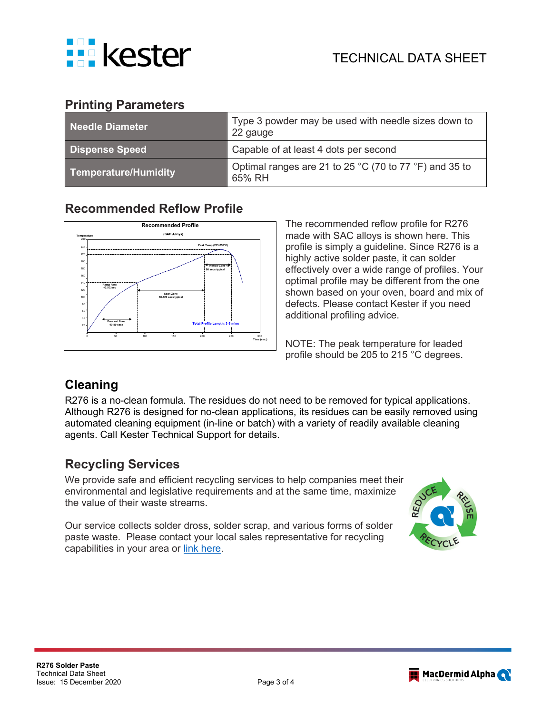

# **Printing Parameters**

| Needle Diameter       | Type 3 powder may be used with needle sizes down to<br>22 gauge  |  |
|-----------------------|------------------------------------------------------------------|--|
| <b>Dispense Speed</b> | Capable of at least 4 dots per second                            |  |
| Temperature/Humidity  | Optimal ranges are 21 to 25 °C (70 to 77 °F) and 35 to<br>65% RH |  |

# **Recommended Reflow Profile**



The recommended reflow profile for R276 made with SAC alloys is shown here. This profile is simply a guideline. Since R276 is a highly active solder paste, it can solder effectively over a wide range of profiles. Your optimal profile may be different from the one shown based on your oven, board and mix of defects. Please contact Kester if you need additional profiling advice.

NOTE: The peak temperature for leaded profile should be 205 to 215 °C degrees.

# **Cleaning**

R276 is a no-clean formula. The residues do not need to be removed for typical applications. Although R276 is designed for no-clean applications, its residues can be easily removed using automated cleaning equipment (in-line or batch) with a variety of readily available cleaning agents. Call Kester Technical Support for details.

# **Recycling Services**

We provide safe and efficient recycling services to help companies meet their environmental and legislative requirements and at the same time, maximize the value of their waste streams.

Our service collects solder dross, solder scrap, and various forms of solder paste waste. Please contact your local sales representative for recycling capabilities in your area or [link here.](https://www.kester.com/services/reclaim-recycling-services?utm_source=alpha-document-link&utm_medium=tech-bulletin&utm_campaign=recycling-kester)